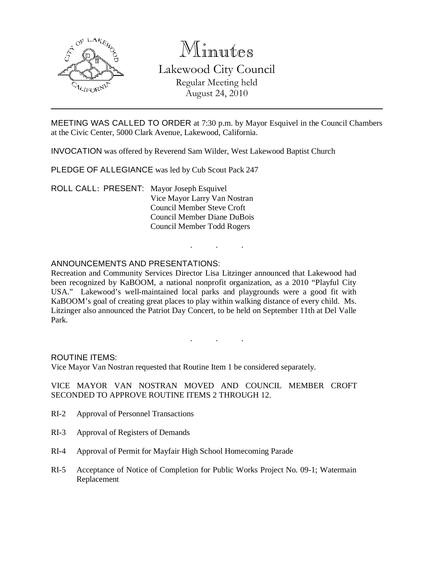

# Minutes

Lakewood City Council Regular Meeting held August 24, 2010

MEETING WAS CALLED TO ORDER at 7:30 p.m. by Mayor Esquivel in the Council Chambers at the Civic Center, 5000 Clark Avenue, Lakewood, California.

INVOCATION was offered by Reverend Sam Wilder, West Lakewood Baptist Church

PLEDGE OF ALLEGIANCE was led by Cub Scout Pack 247

ROLL CALL: PRESENT: Mayor Joseph Esquivel Vice Mayor Larry Van Nostran Council Member Steve Croft Council Member Diane DuBois Council Member Todd Rogers

# ANNOUNCEMENTS AND PRESENTATIONS:

Recreation and Community Services Director Lisa Litzinger announced that Lakewood had been recognized by KaBOOM, a national nonprofit organization, as a 2010 "Playful City USA." Lakewood's well-maintained local parks and playgrounds were a good fit with KaBOOM's goal of creating great places to play within walking distance of every child. Ms. Litzinger also announced the Patriot Day Concert, to be held on September 11th at Del Valle Park.

. . .

. . .

ROUTINE ITEMS:

Vice Mayor Van Nostran requested that Routine Item 1 be considered separately.

#### VICE MAYOR VAN NOSTRAN MOVED AND COUNCIL MEMBER CROFT SECONDED TO APPROVE ROUTINE ITEMS 2 THROUGH 12.

- RI-2 Approval of Personnel Transactions
- RI-3 Approval of Registers of Demands
- RI-4 Approval of Permit for Mayfair High School Homecoming Parade
- RI-5 Acceptance of Notice of Completion for Public Works Project No. 09-1; Watermain Replacement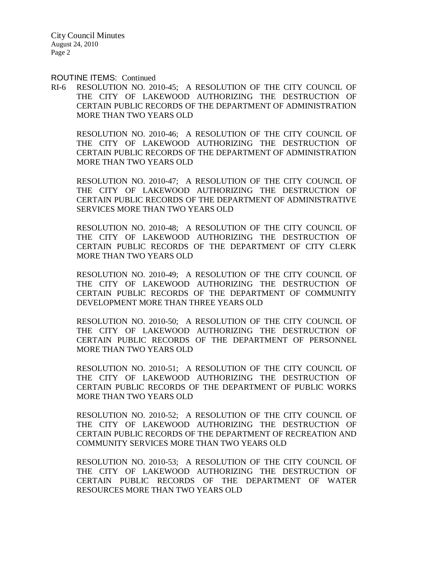ROUTINE ITEMS: Continued

RI-6 RESOLUTION NO. 2010-45; A RESOLUTION OF THE CITY COUNCIL OF THE CITY OF LAKEWOOD AUTHORIZING THE DESTRUCTION OF CERTAIN PUBLIC RECORDS OF THE DEPARTMENT OF ADMINISTRATION MORE THAN TWO YEARS OLD

RESOLUTION NO. 2010-46; A RESOLUTION OF THE CITY COUNCIL OF THE CITY OF LAKEWOOD AUTHORIZING THE DESTRUCTION OF CERTAIN PUBLIC RECORDS OF THE DEPARTMENT OF ADMINISTRATION MORE THAN TWO YEARS OLD

RESOLUTION NO. 2010-47; A RESOLUTION OF THE CITY COUNCIL OF THE CITY OF LAKEWOOD AUTHORIZING THE DESTRUCTION OF CERTAIN PUBLIC RECORDS OF THE DEPARTMENT OF ADMINISTRATIVE SERVICES MORE THAN TWO YEARS OLD

RESOLUTION NO. 2010-48; A RESOLUTION OF THE CITY COUNCIL OF THE CITY OF LAKEWOOD AUTHORIZING THE DESTRUCTION OF CERTAIN PUBLIC RECORDS OF THE DEPARTMENT OF CITY CLERK MORE THAN TWO YEARS OLD

RESOLUTION NO. 2010-49; A RESOLUTION OF THE CITY COUNCIL OF THE CITY OF LAKEWOOD AUTHORIZING THE DESTRUCTION OF CERTAIN PUBLIC RECORDS OF THE DEPARTMENT OF COMMUNITY DEVELOPMENT MORE THAN THREE YEARS OLD

RESOLUTION NO. 2010-50; A RESOLUTION OF THE CITY COUNCIL OF THE CITY OF LAKEWOOD AUTHORIZING THE DESTRUCTION OF CERTAIN PUBLIC RECORDS OF THE DEPARTMENT OF PERSONNEL MORE THAN TWO YEARS OLD

RESOLUTION NO. 2010-51; A RESOLUTION OF THE CITY COUNCIL OF THE CITY OF LAKEWOOD AUTHORIZING THE DESTRUCTION OF CERTAIN PUBLIC RECORDS OF THE DEPARTMENT OF PUBLIC WORKS MORE THAN TWO YEARS OLD

RESOLUTION NO. 2010-52; A RESOLUTION OF THE CITY COUNCIL OF THE CITY OF LAKEWOOD AUTHORIZING THE DESTRUCTION OF CERTAIN PUBLIC RECORDS OF THE DEPARTMENT OF RECREATION AND COMMUNITY SERVICES MORE THAN TWO YEARS OLD

RESOLUTION NO. 2010-53; A RESOLUTION OF THE CITY COUNCIL OF THE CITY OF LAKEWOOD AUTHORIZING THE DESTRUCTION OF CERTAIN PUBLIC RECORDS OF THE DEPARTMENT OF WATER RESOURCES MORE THAN TWO YEARS OLD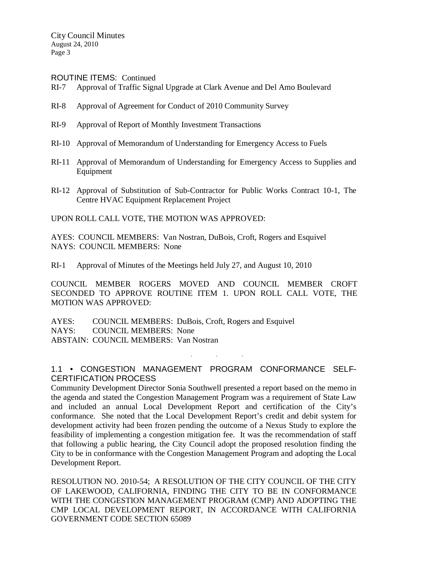ROUTINE ITEMS: Continued

- RI-7 Approval of Traffic Signal Upgrade at Clark Avenue and Del Amo Boulevard
- RI-8 Approval of Agreement for Conduct of 2010 Community Survey
- RI-9 Approval of Report of Monthly Investment Transactions
- RI-10 Approval of Memorandum of Understanding for Emergency Access to Fuels
- RI-11 Approval of Memorandum of Understanding for Emergency Access to Supplies and Equipment
- RI-12 Approval of Substitution of Sub-Contractor for Public Works Contract 10-1, The Centre HVAC Equipment Replacement Project

UPON ROLL CALL VOTE, THE MOTION WAS APPROVED:

AYES: COUNCIL MEMBERS: Van Nostran, DuBois, Croft, Rogers and Esquivel NAYS: COUNCIL MEMBERS: None

RI-1 Approval of Minutes of the Meetings held July 27, and August 10, 2010

COUNCIL MEMBER ROGERS MOVED AND COUNCIL MEMBER CROFT SECONDED TO APPROVE ROUTINE ITEM 1. UPON ROLL CALL VOTE, THE MOTION WAS APPROVED:

AYES: COUNCIL MEMBERS: DuBois, Croft, Rogers and Esquivel NAYS: COUNCIL MEMBERS: None ABSTAIN: COUNCIL MEMBERS: Van Nostran

## 1.1 • CONGESTION MANAGEMENT PROGRAM CONFORMANCE SELF-CERTIFICATION PROCESS

. . .

Community Development Director Sonia Southwell presented a report based on the memo in the agenda and stated the Congestion Management Program was a requirement of State Law and included an annual Local Development Report and certification of the City's conformance. She noted that the Local Development Report's credit and debit system for development activity had been frozen pending the outcome of a Nexus Study to explore the feasibility of implementing a congestion mitigation fee. It was the recommendation of staff that following a public hearing, the City Council adopt the proposed resolution finding the City to be in conformance with the Congestion Management Program and adopting the Local Development Report.

RESOLUTION NO. 2010-54; A RESOLUTION OF THE CITY COUNCIL OF THE CITY OF LAKEWOOD, CALIFORNIA, FINDING THE CITY TO BE IN CONFORMANCE WITH THE CONGESTION MANAGEMENT PROGRAM (CMP) AND ADOPTING THE CMP LOCAL DEVELOPMENT REPORT, IN ACCORDANCE WITH CALIFORNIA GOVERNMENT CODE SECTION 65089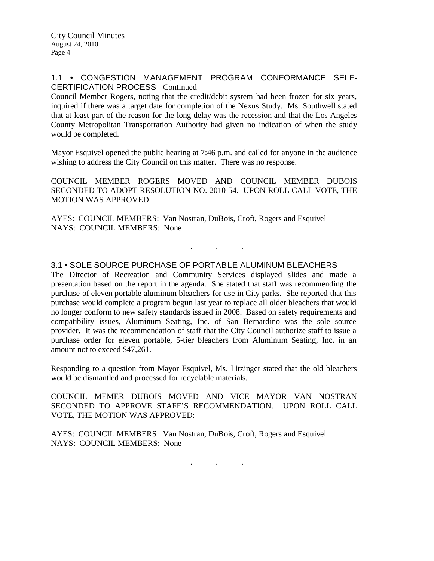### 1.1 • CONGESTION MANAGEMENT PROGRAM CONFORMANCE SELF-CERTIFICATION PROCESS - Continued

Council Member Rogers, noting that the credit/debit system had been frozen for six years, inquired if there was a target date for completion of the Nexus Study. Ms. Southwell stated that at least part of the reason for the long delay was the recession and that the Los Angeles County Metropolitan Transportation Authority had given no indication of when the study would be completed.

Mayor Esquivel opened the public hearing at 7:46 p.m. and called for anyone in the audience wishing to address the City Council on this matter. There was no response.

COUNCIL MEMBER ROGERS MOVED AND COUNCIL MEMBER DUBOIS SECONDED TO ADOPT RESOLUTION NO. 2010-54. UPON ROLL CALL VOTE, THE MOTION WAS APPROVED:

. . .

AYES: COUNCIL MEMBERS: Van Nostran, DuBois, Croft, Rogers and Esquivel NAYS: COUNCIL MEMBERS: None

## 3.1 • SOLE SOURCE PURCHASE OF PORTABLE ALUMINUM BLEACHERS

The Director of Recreation and Community Services displayed slides and made a presentation based on the report in the agenda. She stated that staff was recommending the purchase of eleven portable aluminum bleachers for use in City parks. She reported that this purchase would complete a program begun last year to replace all older bleachers that would no longer conform to new safety standards issued in 2008. Based on safety requirements and compatibility issues, Aluminum Seating, Inc. of San Bernardino was the sole source provider. It was the recommendation of staff that the City Council authorize staff to issue a purchase order for eleven portable, 5-tier bleachers from Aluminum Seating, Inc. in an amount not to exceed \$47,261.

Responding to a question from Mayor Esquivel, Ms. Litzinger stated that the old bleachers would be dismantled and processed for recyclable materials.

COUNCIL MEMER DUBOIS MOVED AND VICE MAYOR VAN NOSTRAN SECONDED TO APPROVE STAFF'S RECOMMENDATION. UPON ROLL CALL VOTE, THE MOTION WAS APPROVED:

AYES: COUNCIL MEMBERS: Van Nostran, DuBois, Croft, Rogers and Esquivel NAYS: COUNCIL MEMBERS: None

. . .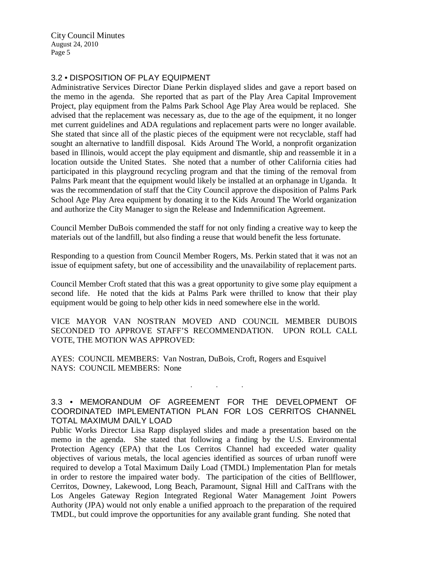#### 3.2 • DISPOSITION OF PLAY EQUIPMENT

Administrative Services Director Diane Perkin displayed slides and gave a report based on the memo in the agenda. She reported that as part of the Play Area Capital Improvement Project, play equipment from the Palms Park School Age Play Area would be replaced. She advised that the replacement was necessary as, due to the age of the equipment, it no longer met current guidelines and ADA regulations and replacement parts were no longer available. She stated that since all of the plastic pieces of the equipment were not recyclable, staff had sought an alternative to landfill disposal. Kids Around The World, a nonprofit organization based in Illinois, would accept the play equipment and dismantle, ship and reassemble it in a location outside the United States. She noted that a number of other California cities had participated in this playground recycling program and that the timing of the removal from Palms Park meant that the equipment would likely be installed at an orphanage in Uganda. It was the recommendation of staff that the City Council approve the disposition of Palms Park School Age Play Area equipment by donating it to the Kids Around The World organization and authorize the City Manager to sign the Release and Indemnification Agreement.

Council Member DuBois commended the staff for not only finding a creative way to keep the materials out of the landfill, but also finding a reuse that would benefit the less fortunate.

Responding to a question from Council Member Rogers, Ms. Perkin stated that it was not an issue of equipment safety, but one of accessibility and the unavailability of replacement parts.

Council Member Croft stated that this was a great opportunity to give some play equipment a second life. He noted that the kids at Palms Park were thrilled to know that their play equipment would be going to help other kids in need somewhere else in the world.

VICE MAYOR VAN NOSTRAN MOVED AND COUNCIL MEMBER DUBOIS SECONDED TO APPROVE STAFF'S RECOMMENDATION. UPON ROLL CALL VOTE, THE MOTION WAS APPROVED:

AYES: COUNCIL MEMBERS: Van Nostran, DuBois, Croft, Rogers and Esquivel NAYS: COUNCIL MEMBERS: None

# 3.3 • MEMORANDUM OF AGREEMENT FOR THE DEVELOPMENT OF COORDINATED IMPLEMENTATION PLAN FOR LOS CERRITOS CHANNEL TOTAL MAXIMUM DAILY LOAD

. . .

Public Works Director Lisa Rapp displayed slides and made a presentation based on the memo in the agenda. She stated that following a finding by the U.S. Environmental Protection Agency (EPA) that the Los Cerritos Channel had exceeded water quality objectives of various metals, the local agencies identified as sources of urban runoff were required to develop a Total Maximum Daily Load (TMDL) Implementation Plan for metals in order to restore the impaired water body. The participation of the cities of Bellflower, Cerritos, Downey, Lakewood, Long Beach, Paramount, Signal Hill and CalTrans with the Los Angeles Gateway Region Integrated Regional Water Management Joint Powers Authority (JPA) would not only enable a unified approach to the preparation of the required TMDL, but could improve the opportunities for any available grant funding. She noted that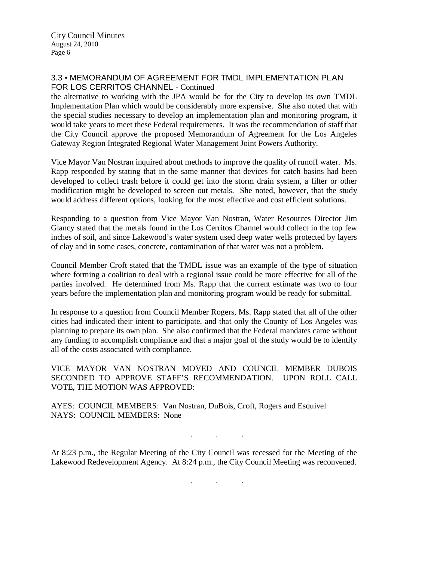#### 3.3 • MEMORANDUM OF AGREEMENT FOR TMDL IMPLEMENTATION PLAN FOR LOS CERRITOS CHANNEL - Continued

the alternative to working with the JPA would be for the City to develop its own TMDL Implementation Plan which would be considerably more expensive. She also noted that with the special studies necessary to develop an implementation plan and monitoring program, it would take years to meet these Federal requirements. It was the recommendation of staff that the City Council approve the proposed Memorandum of Agreement for the Los Angeles Gateway Region Integrated Regional Water Management Joint Powers Authority.

Vice Mayor Van Nostran inquired about methods to improve the quality of runoff water. Ms. Rapp responded by stating that in the same manner that devices for catch basins had been developed to collect trash before it could get into the storm drain system, a filter or other modification might be developed to screen out metals. She noted, however, that the study would address different options, looking for the most effective and cost efficient solutions.

Responding to a question from Vice Mayor Van Nostran, Water Resources Director Jim Glancy stated that the metals found in the Los Cerritos Channel would collect in the top few inches of soil, and since Lakewood's water system used deep water wells protected by layers of clay and in some cases, concrete, contamination of that water was not a problem.

Council Member Croft stated that the TMDL issue was an example of the type of situation where forming a coalition to deal with a regional issue could be more effective for all of the parties involved. He determined from Ms. Rapp that the current estimate was two to four years before the implementation plan and monitoring program would be ready for submittal.

In response to a question from Council Member Rogers, Ms. Rapp stated that all of the other cities had indicated their intent to participate, and that only the County of Los Angeles was planning to prepare its own plan. She also confirmed that the Federal mandates came without any funding to accomplish compliance and that a major goal of the study would be to identify all of the costs associated with compliance.

VICE MAYOR VAN NOSTRAN MOVED AND COUNCIL MEMBER DUBOIS SECONDED TO APPROVE STAFF'S RECOMMENDATION. UPON ROLL CALL VOTE, THE MOTION WAS APPROVED:

AYES: COUNCIL MEMBERS: Van Nostran, DuBois, Croft, Rogers and Esquivel NAYS: COUNCIL MEMBERS: None

At 8:23 p.m., the Regular Meeting of the City Council was recessed for the Meeting of the Lakewood Redevelopment Agency. At 8:24 p.m., the City Council Meeting was reconvened.

. . .

. . .